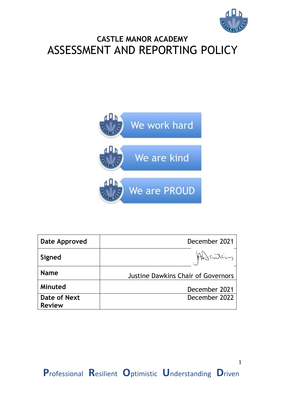

1

## **CASTLE MANOR ACADEMY** ASSESSMENT AND REPORTING POLICY



| <b>Date Approved</b> | December 2021                             |
|----------------------|-------------------------------------------|
| Signed               |                                           |
| <b>Name</b>          | <b>Justine Dawkins Chair of Governors</b> |
| Minuted              | December 2021                             |
| Date of Next         | December 2022                             |
| <b>Review</b>        |                                           |

**P**rofessional **R**esilient **O**ptimistic **U**nderstanding **D**riven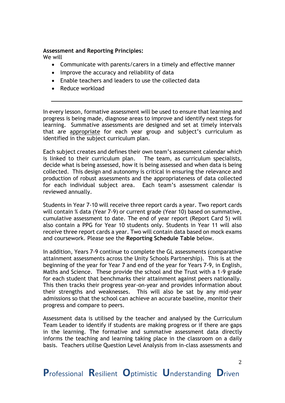## **Assessment and Reporting Principles:**

We will

- Communicate with parents/carers in a timely and effective manner
- Improve the accuracy and reliability of data
- Enable teachers and leaders to use the collected data
- Reduce workload

In every lesson, formative assessment will be used to ensure that learning and progress is being made, diagnose areas to improve and identify next steps for learning. Summative assessments are designed and set at timely intervals that are appropriate for each year group and subject's curriculum as identified in the subject curriculum plan.

Each subject creates and defines their own team's assessment calendar which is linked to their curriculum plan. The team, as curriculum specialists, decide what is being assessed, how it is being assessed and when data is being collected. This design and autonomy is critical in ensuring the relevance and production of robust assessments and the appropriateness of data collected for each individual subject area. Each team's assessment calendar is reviewed annually.

Students in Year 7-10 will receive three report cards a year. Two report cards will contain % data (Year 7-9) or current grade (Year 10) based on summative, cumulative assessment to date. The end of year report (Report Card 5) will also contain a PPG for Year 10 students only. Students in Year 11 will also receive three report cards a year. Two will contain data based on mock exams and coursework. Please see the **Reporting Schedule Table** below.

In addition, Years 7-9 continue to complete the GL assessments (comparative attainment assessments across the Unity Schools Partnership). This is at the beginning of the year for Year 7 and end of the year for Years 7-9, in English, Maths and Science. These provide the school and the Trust with a 1-9 grade for each student that benchmarks their attainment against peers nationally. This then tracks their progress year-on-year and provides information about their strengths and weaknesses. This will also be sat by any mid-year admissions so that the school can achieve an accurate baseline, monitor their progress and compare to peers.

Assessment data is utilised by the teacher and analysed by the Curriculum Team Leader to identify if students are making progress or if there are gaps in the learning. The formative and summative assessment data directly informs the teaching and learning taking place in the classroom on a daily basis. Teachers utilise Question Level Analysis from in-class assessments and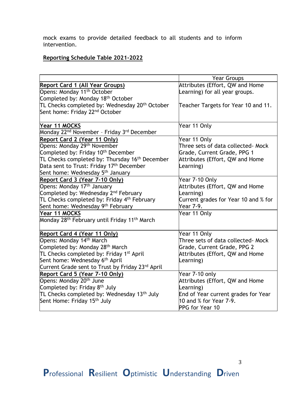mock exams to provide detailed feedback to all students and to inform intervention.

## **Reporting Schedule Table 2021-2022**

|                                                                      | <b>Year Groups</b>                   |
|----------------------------------------------------------------------|--------------------------------------|
| <b>Report Card 1 (All Year Groups)</b>                               | Attributes (Effort, QW and Home      |
| Opens: Monday 11 <sup>th</sup> October                               | earning) for all year groups.        |
| Completed by: Monday 18 <sup>th</sup> October                        |                                      |
| TL Checks completed by: Wednesday 20 <sup>th</sup> October           | Teacher Targets for Year 10 and 11.  |
| Sent home: Friday 22 <sup>nd</sup> October                           |                                      |
| Year 11 MOCKS                                                        | Year 11 Only                         |
| Monday 22 <sup>nd</sup> November - Friday 3 <sup>rd</sup> December   |                                      |
| Report Card 2 (Year 11 Only)                                         | Year 11 Only                         |
| Opens: Monday 29 <sup>th</sup> November                              | Three sets of data collected- Mock   |
| Completed by: Friday 10 <sup>th</sup> December                       | Grade, Current Grade, PPG 1          |
| TL Checks completed by: Thursday 16 <sup>th</sup> December           | Attributes (Effort, QW and Home      |
| Data sent to Trust: Friday 17 <sup>th</sup> December                 | earning)                             |
| Sent home: Wednesday 5 <sup>th</sup> January                         |                                      |
| Report Card 3 (Year 7-10 Only)                                       | Year 7-10 Only                       |
| Opens: Monday 17 <sup>th</sup> January                               | Attributes (Effort, QW and Home      |
| Completed by: Wednesday 2 <sup>nd</sup> February                     | earning)                             |
| TL Checks completed by: Friday 4 <sup>th</sup> February              | Current grades for Year 10 and % for |
| Sent home: Wednesday 9th February                                    | Year 7-9.                            |
| Year 11 MOCKS                                                        | Year 11 Only                         |
| Monday 28 <sup>th</sup> February until Friday 11 <sup>th</sup> March |                                      |
| Report Card 4 (Year 11 Only)                                         | Year 11 Only                         |
| Opens: Monday 14th March                                             | Three sets of data collected- Mock   |
| Completed by: Monday 28 <sup>th</sup> March                          | Grade, Current Grade, PPG 2          |
| TL Checks completed by: Friday 1 <sup>st</sup> April                 | Attributes (Effort, QW and Home      |
| Sent home: Wednesday 6 <sup>th</sup> April                           | earning)                             |
| Current Grade sent to Trust by Friday 23rd April                     |                                      |
| Report Card 5 (Year 7-10 Only)                                       | Year 7-10 only                       |
| Opens: Monday 20 <sup>th</sup> June                                  | Attributes (Effort, QW and Home      |
| Completed by: Friday 8 <sup>th</sup> July                            | Learning)                            |
| TL Checks completed by: Wednesday 13 <sup>th</sup> July              | End of Year current grades for Year  |
| Sent Home: Friday 15 <sup>th</sup> July                              | $10$ and $%$ for Year 7-9.           |
|                                                                      | PPG for Year 10                      |